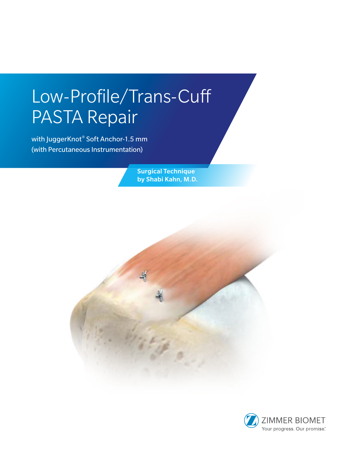# Low-Profile/Trans-Cuff PASTA Repair

with JuggerKnot® Soft Anchor-1.5 mm (with Percutaneous Instrumentation)

> Surgical Technique by Shabi Kahn, M.D.

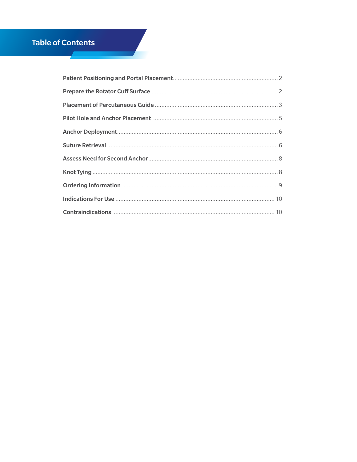# **Table of Contents**

**Contract**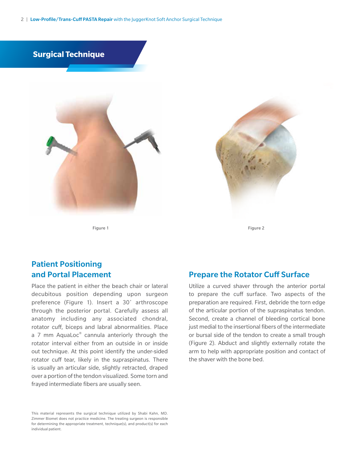2 | Low-Profile/Trans-Cuff PASTA Repair with the JuggerKnot Soft Anchor Surgical Technique



Figure 1 Figure 2



# Patient Positioning and Portal Placement

Place the patient in either the beach chair or lateral decubitous position depending upon surgeon preference (Figure 1). Insert a 30˚ arthroscope through the posterior portal. Carefully assess all anatomy including any associated chondral, rotator cuff, biceps and labral abnormalities. Place a 7 mm AquaLoc<sup>®</sup> cannula anteriorly through the rotator interval either from an outside in or inside out technique. At this point identify the under-sided rotator cuff tear, likely in the supraspinatus. There is usually an articular side, slightly retracted, draped over a portion of the tendon visualized. Some torn and frayed intermediate fibers are usually seen.

This material represents the surgical technique utilized by Shabi Kahn, MD. Zimmer Biomet does not practice medicine. The treating surgeon is responsible for determining the appropriate treatment, technique(s), and product(s) for each individual patient.

### Prepare the Rotator Cuff Surface

Utilize a curved shaver through the anterior portal to prepare the cuff surface. Two aspects of the preparation are required. First, debride the torn edge of the articular portion of the supraspinatus tendon. Second, create a channel of bleeding cortical bone just medial to the insertional fibers of the intermediate or bursal side of the tendon to create a small trough (Figure 2). Abduct and slightly externally rotate the arm to help with appropriate position and contact of the shaver with the bone bed.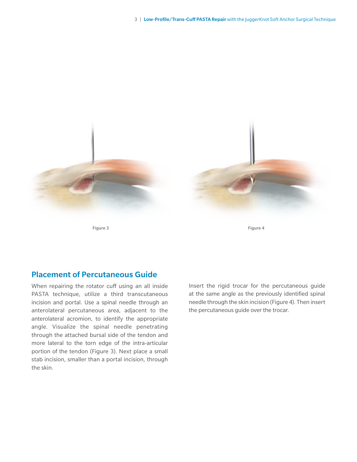

# Placement of Percutaneous Guide

When repairing the rotator cuff using an all inside PASTA technique, utilize a third transcutaneous incision and portal. Use a spinal needle through an anterolateral percutaneous area, adjacent to the anterolateral acromion, to identify the appropriate angle. Visualize the spinal needle penetrating through the attached bursal side of the tendon and more lateral to the torn edge of the intra-articular portion of the tendon (Figure 3). Next place a small stab incision, smaller than a portal incision, through the skin.

Insert the rigid trocar for the percutaneous guide at the same angle as the previously identified spinal needle through the skin incision (Figure 4). Then insert the percutaneous guide over the trocar.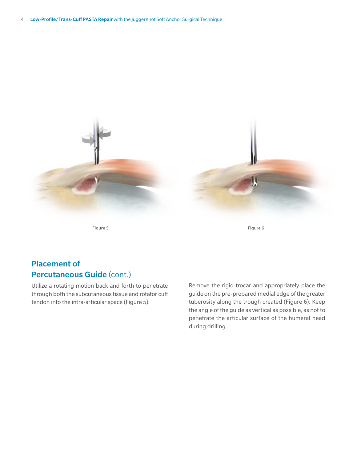

Figure 5 Figure 6

# Placement of Percutaneous Guide (cont.)

Utilize a rotating motion back and forth to penetrate through both the subcutaneous tissue and rotator cuff tendon into the intra-articular space (Figure 5).

Remove the rigid trocar and appropriately place the guide on the pre-prepared medial edge of the greater tuberosity along the trough created (Figure 6). Keep the angle of the guide as vertical as possible, as not to penetrate the articular surface of the humeral head during drilling.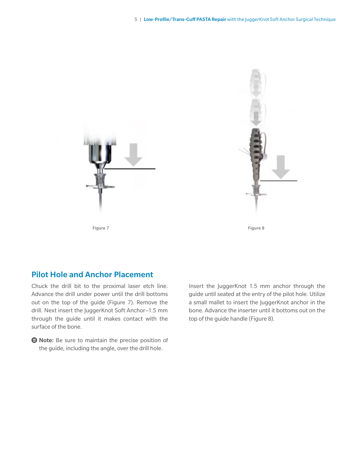



## Pilot Hole and Anchor Placement

Chuck the drill bit to the proximal laser etch line. Advance the drill under power until the drill bottoms out on the top of the guide (Figure 7). Remove the drill. Next insert the JuggerKnot Soft Anchor–1.5 mm through the guide until it makes contact with the surface of the bone.

**● Note:** Be sure to maintain the precise position of the guide, including the angle, over the drill hole.

Insert the JuggerKnot 1.5 mm anchor through the guide until seated at the entry of the pilot hole. Utilize a small mallet to insert the JuggerKnot anchor in the bone. Advance the inserter until it bottoms out on the top of the guide handle (Figure 8).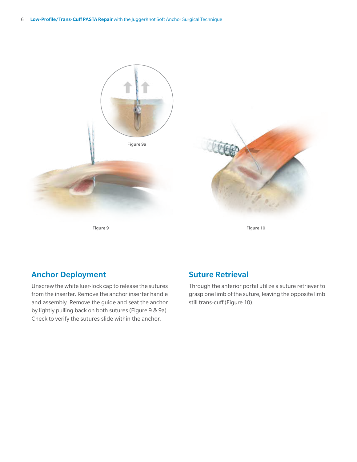

Figure 9

Figure 10

# Anchor Deployment

Unscrew the white luer-lock cap to release the sutures from the inserter. Remove the anchor inserter handle and assembly. Remove the guide and seat the anchor by lightly pulling back on both sutures (Figure 9 & 9a). Check to verify the sutures slide within the anchor.

# Suture Retrieval

Through the anterior portal utilize a suture retriever to grasp one limb of the suture, leaving the opposite limb still trans-cuff (Figure 10).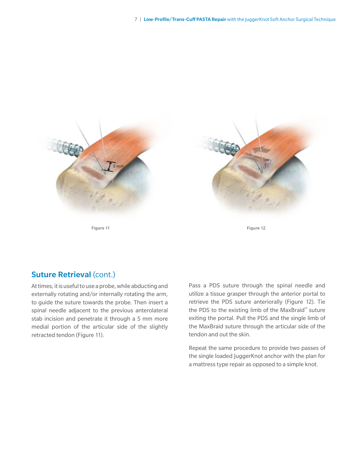

# Suture Retrieval (cont.)

At times, it is useful to use a probe, while abducting and externally rotating and/or internally rotating the arm, to guide the suture towards the probe. Then insert a spinal needle adjacent to the previous anterolateral stab incision and penetrate it through a 5 mm more medial portion of the articular side of the slightly retracted tendon (Figure 11).

Pass a PDS suture through the spinal needle and utilize a tissue grasper through the anterior portal to retrieve the PDS suture anteriorally (Figure 12). Tie the PDS to the existing limb of the MaxBraid™ suture exiting the portal. Pull the PDS and the single limb of the MaxBraid suture through the articular side of the tendon and out the skin.

Repeat the same procedure to provide two passes of the single loaded JuggerKnot anchor with the plan for a mattress type repair as opposed to a simple knot.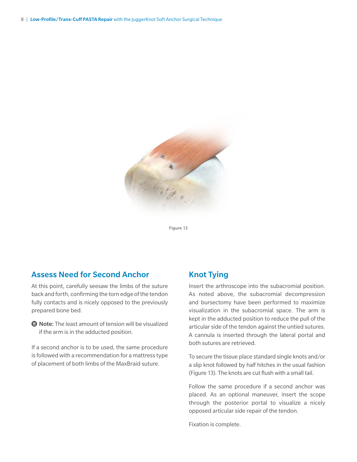

Figure 13

### Assess Need for Second Anchor

At this point, carefully seesaw the limbs of the suture back and forth, confirming the torn edge of the tendon fully contacts and is nicely opposed to the previously prepared bone bed.

**■ Note:** The least amount of tension will be visualized if the arm is in the adducted position.

If a second anchor is to be used, the same procedure is followed with a recommendation for a mattress type of placement of both limbs of the MaxBraid suture.

### Knot Tying

Insert the arthroscope into the subacromial position. As noted above, the subacromial decompression and bursectomy have been performed to maximize visualization in the subacromial space. The arm is kept in the adducted position to reduce the pull of the articular side of the tendon against the untied sutures. A cannula is inserted through the lateral portal and both sutures are retrieved.

To secure the tissue place standard single knots and/or a slip knot followed by half hitches in the usual fashion (Figure 13). The knots are cut flush with a small tail.

Follow the same procedure if a second anchor was placed. As an optional maneuver, insert the scope through the posterior portal to visualize a nicely opposed articular side repair of the tendon.

Fixation is complete.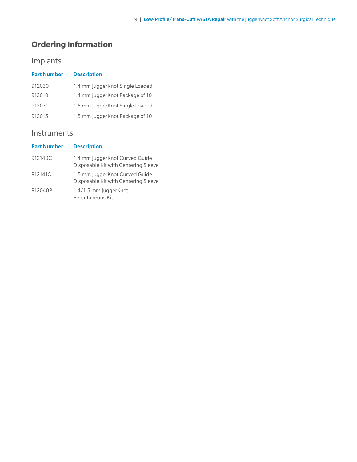# **Ordering Information**

# Implants

| <b>Part Number</b> | <b>Description</b>               |
|--------------------|----------------------------------|
| 912030             | 1.4 mm JuggerKnot Single Loaded  |
| 912010             | 1.4 mm Jugger Knot Package of 10 |
| 912031             | 1.5 mm JuggerKnot Single Loaded  |
| 912015             | 1.5 mm JuggerKnot Package of 10  |

# Instruments

| <b>Part Number</b> | <b>Description</b>                                                     |
|--------------------|------------------------------------------------------------------------|
| 912140C            | 1.4 mm JuggerKnot Curved Guide<br>Disposable Kit with Centering Sleeve |
| 912141C            | 1.5 mm JuggerKnot Curved Guide<br>Disposable Kit with Centering Sleeve |
| 912040P            | 1.4/1.5 mm JuggerKnot<br>Percutaneous Kit                              |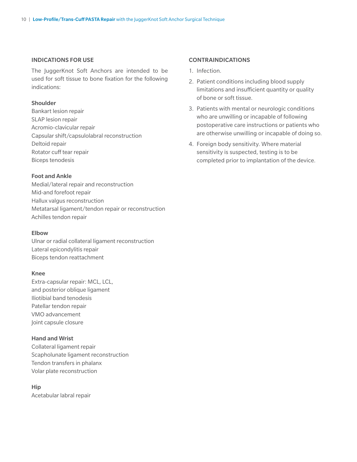### INDICATIONS FOR USE

The JuggerKnot Soft Anchors are intended to be used for soft tissue to bone fixation for the following indications:

### Shoulder

Bankart lesion repair SLAP lesion repair Acromio-clavicular repair Capsular shift/capsulolabral reconstruction Deltoid repair Rotator cuff tear repair Biceps tenodesis

### Foot and Ankle

Medial/lateral repair and reconstruction Mid-and forefoot repair Hallux valgus reconstruction Metatarsal ligament/tendon repair or reconstruction Achilles tendon repair

### Elbow

Ulnar or radial collateral ligament reconstruction Lateral epicondylitis repair Biceps tendon reattachment

#### Knee

Extra-capsular repair: MCL, LCL, and posterior oblique ligament Iliotibial band tenodesis Patellar tendon repair VMO advancement Joint capsule closure

### Hand and Wrist

Collateral ligament repair Scapholunate ligament reconstruction Tendon transfers in phalanx Volar plate reconstruction

Hip Acetabular labral repair

### CONTRAINDICATIONS

- 1. Infection.
- 2. Patient conditions including blood supply limitations and insufficient quantity or quality of bone or soft tissue.
- 3. Patients with mental or neurologic conditions who are unwilling or incapable of following postoperative care instructions or patients who are otherwise unwilling or incapable of doing so.
- 4. Foreign body sensitivity. Where material sensitivity is suspected, testing is to be completed prior to implantation of the device.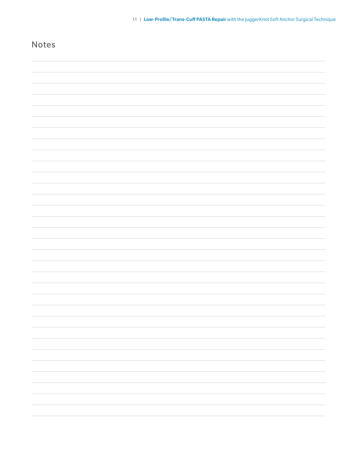| Notes |  |
|-------|--|
|       |  |
|       |  |
|       |  |
|       |  |
|       |  |
|       |  |
|       |  |
|       |  |
|       |  |
|       |  |
|       |  |
|       |  |
|       |  |
|       |  |
|       |  |
|       |  |
|       |  |
|       |  |
|       |  |
|       |  |
|       |  |
|       |  |
|       |  |
|       |  |
|       |  |
|       |  |
|       |  |
|       |  |
|       |  |
|       |  |
|       |  |
|       |  |
|       |  |
|       |  |
|       |  |
|       |  |
|       |  |
|       |  |
|       |  |
|       |  |
|       |  |
|       |  |
|       |  |

11 | Low-Profile/Trans-Cuff PASTA Repair with the JuggerKnot Soft Anchor Surgical Technique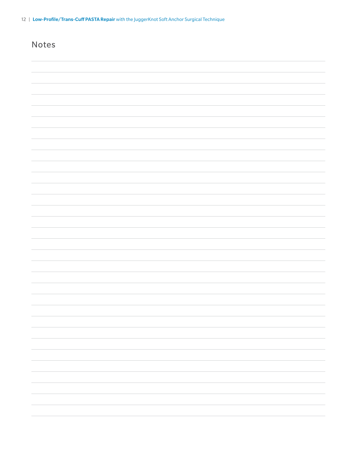| Notes |        |
|-------|--------|
|       |        |
|       |        |
|       |        |
|       |        |
|       |        |
|       |        |
|       |        |
|       |        |
|       |        |
|       |        |
|       |        |
|       |        |
|       |        |
|       |        |
|       |        |
|       |        |
|       |        |
|       |        |
|       |        |
|       | $\sim$ |
|       |        |
|       |        |
|       |        |
|       |        |